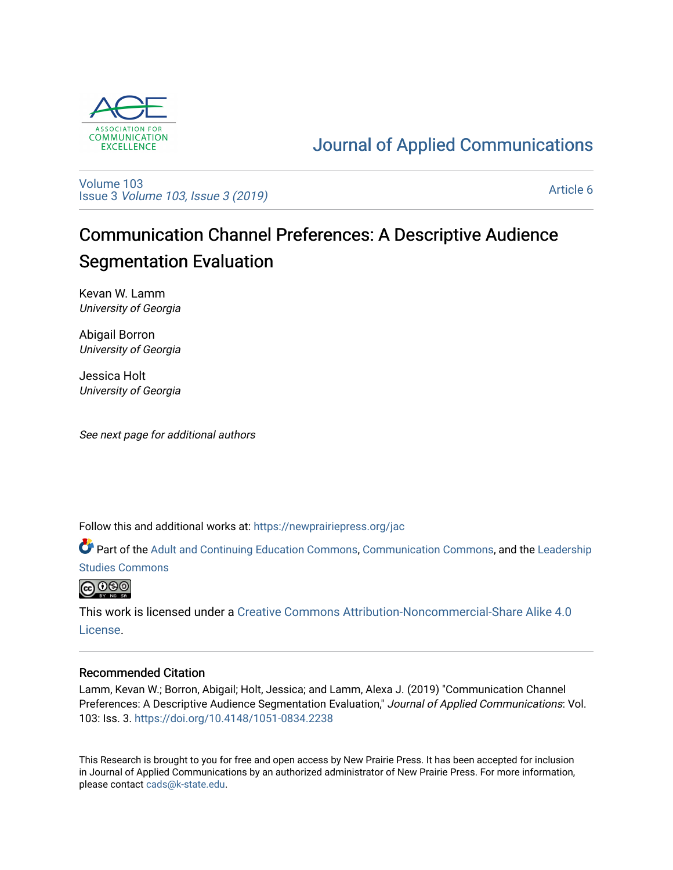

## [Journal of Applied Communications](https://newprairiepress.org/jac)

[Volume 103](https://newprairiepress.org/jac/vol103) Issue 3 [Volume 103, Issue 3 \(2019\)](https://newprairiepress.org/jac/vol103/iss3)

[Article 6](https://newprairiepress.org/jac/vol103/iss3/6) 

# Communication Channel Preferences: A Descriptive Audience Segmentation Evaluation

Kevan W. Lamm University of Georgia

Abigail Borron University of Georgia

Jessica Holt University of Georgia

See next page for additional authors

Follow this and additional works at: [https://newprairiepress.org/jac](https://newprairiepress.org/jac?utm_source=newprairiepress.org%2Fjac%2Fvol103%2Fiss3%2F6&utm_medium=PDF&utm_campaign=PDFCoverPages)

Part of the [Adult and Continuing Education Commons,](http://network.bepress.com/hgg/discipline/1375?utm_source=newprairiepress.org%2Fjac%2Fvol103%2Fiss3%2F6&utm_medium=PDF&utm_campaign=PDFCoverPages) [Communication Commons](http://network.bepress.com/hgg/discipline/325?utm_source=newprairiepress.org%2Fjac%2Fvol103%2Fiss3%2F6&utm_medium=PDF&utm_campaign=PDFCoverPages), and the [Leadership](http://network.bepress.com/hgg/discipline/1250?utm_source=newprairiepress.org%2Fjac%2Fvol103%2Fiss3%2F6&utm_medium=PDF&utm_campaign=PDFCoverPages)  [Studies Commons](http://network.bepress.com/hgg/discipline/1250?utm_source=newprairiepress.org%2Fjac%2Fvol103%2Fiss3%2F6&utm_medium=PDF&utm_campaign=PDFCoverPages) 



This work is licensed under a [Creative Commons Attribution-Noncommercial-Share Alike 4.0](https://creativecommons.org/licenses/by-nc-sa/4.0/) [License.](https://creativecommons.org/licenses/by-nc-sa/4.0/)

#### Recommended Citation

Lamm, Kevan W.; Borron, Abigail; Holt, Jessica; and Lamm, Alexa J. (2019) "Communication Channel Preferences: A Descriptive Audience Segmentation Evaluation," Journal of Applied Communications: Vol. 103: Iss. 3. <https://doi.org/10.4148/1051-0834.2238>

This Research is brought to you for free and open access by New Prairie Press. It has been accepted for inclusion in Journal of Applied Communications by an authorized administrator of New Prairie Press. For more information, please contact [cads@k-state.edu.](mailto:cads@k-state.edu)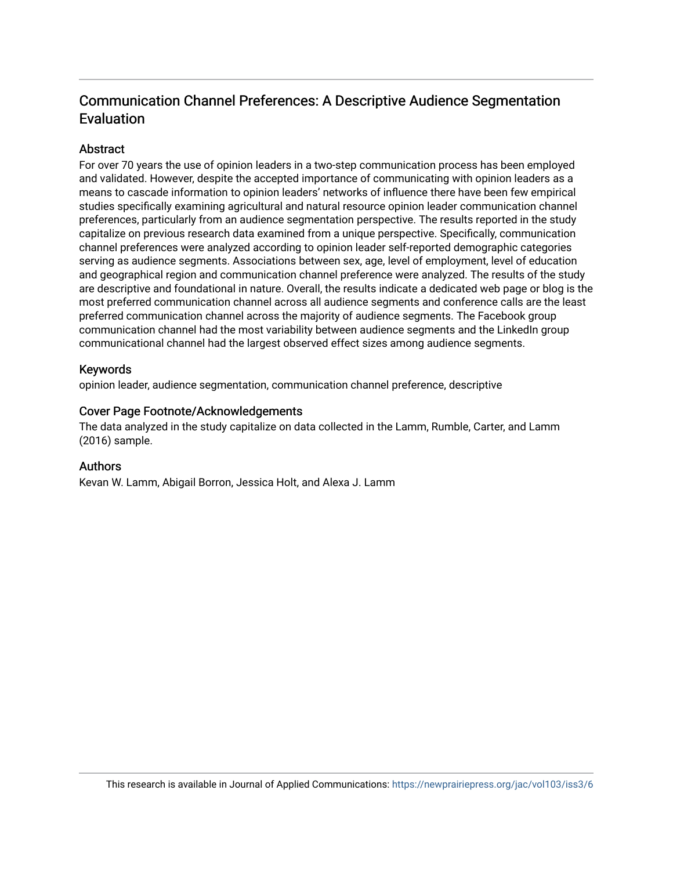### Communication Channel Preferences: A Descriptive Audience Segmentation Evaluation

#### Abstract

For over 70 years the use of opinion leaders in a two-step communication process has been employed and validated. However, despite the accepted importance of communicating with opinion leaders as a means to cascade information to opinion leaders' networks of influence there have been few empirical studies specifically examining agricultural and natural resource opinion leader communication channel preferences, particularly from an audience segmentation perspective. The results reported in the study capitalize on previous research data examined from a unique perspective. Specifically, communication channel preferences were analyzed according to opinion leader self-reported demographic categories serving as audience segments. Associations between sex, age, level of employment, level of education and geographical region and communication channel preference were analyzed. The results of the study are descriptive and foundational in nature. Overall, the results indicate a dedicated web page or blog is the most preferred communication channel across all audience segments and conference calls are the least preferred communication channel across the majority of audience segments. The Facebook group communication channel had the most variability between audience segments and the LinkedIn group communicational channel had the largest observed effect sizes among audience segments.

#### Keywords

opinion leader, audience segmentation, communication channel preference, descriptive

#### Cover Page Footnote/Acknowledgements

The data analyzed in the study capitalize on data collected in the Lamm, Rumble, Carter, and Lamm (2016) sample.

#### Authors

Kevan W. Lamm, Abigail Borron, Jessica Holt, and Alexa J. Lamm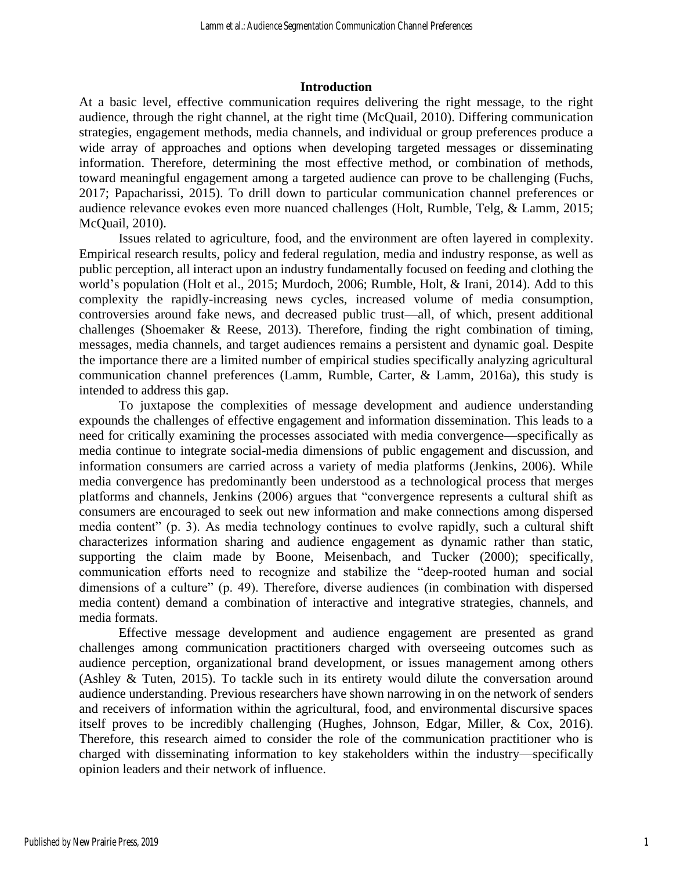#### **Introduction**

At a basic level, effective communication requires delivering the right message, to the right audience, through the right channel, at the right time (McQuail, 2010). Differing communication strategies, engagement methods, media channels, and individual or group preferences produce a wide array of approaches and options when developing targeted messages or disseminating information. Therefore, determining the most effective method, or combination of methods, toward meaningful engagement among a targeted audience can prove to be challenging (Fuchs, 2017; Papacharissi, 2015). To drill down to particular communication channel preferences or audience relevance evokes even more nuanced challenges (Holt, Rumble, Telg, & Lamm, 2015; McQuail, 2010).

Issues related to agriculture, food, and the environment are often layered in complexity. Empirical research results, policy and federal regulation, media and industry response, as well as public perception, all interact upon an industry fundamentally focused on feeding and clothing the world's population (Holt et al., 2015; Murdoch, 2006; Rumble, Holt, & Irani, 2014). Add to this complexity the rapidly-increasing news cycles, increased volume of media consumption, controversies around fake news, and decreased public trust—all, of which, present additional challenges (Shoemaker & Reese, 2013). Therefore, finding the right combination of timing, messages, media channels, and target audiences remains a persistent and dynamic goal. Despite the importance there are a limited number of empirical studies specifically analyzing agricultural communication channel preferences (Lamm, Rumble, Carter, & Lamm, 2016a), this study is intended to address this gap.

To juxtapose the complexities of message development and audience understanding expounds the challenges of effective engagement and information dissemination. This leads to a need for critically examining the processes associated with media convergence—specifically as media continue to integrate social-media dimensions of public engagement and discussion, and information consumers are carried across a variety of media platforms (Jenkins, 2006). While media convergence has predominantly been understood as a technological process that merges platforms and channels, Jenkins (2006) argues that "convergence represents a cultural shift as consumers are encouraged to seek out new information and make connections among dispersed media content" (p. 3). As media technology continues to evolve rapidly, such a cultural shift characterizes information sharing and audience engagement as dynamic rather than static, supporting the claim made by Boone, Meisenbach, and Tucker (2000); specifically, communication efforts need to recognize and stabilize the "deep-rooted human and social dimensions of a culture" (p. 49). Therefore, diverse audiences (in combination with dispersed media content) demand a combination of interactive and integrative strategies, channels, and media formats.

Effective message development and audience engagement are presented as grand challenges among communication practitioners charged with overseeing outcomes such as audience perception, organizational brand development, or issues management among others (Ashley & Tuten, 2015). To tackle such in its entirety would dilute the conversation around audience understanding. Previous researchers have shown narrowing in on the network of senders and receivers of information within the agricultural, food, and environmental discursive spaces itself proves to be incredibly challenging (Hughes, Johnson, Edgar, Miller, & Cox, 2016). Therefore, this research aimed to consider the role of the communication practitioner who is charged with disseminating information to key stakeholders within the industry—specifically opinion leaders and their network of influence.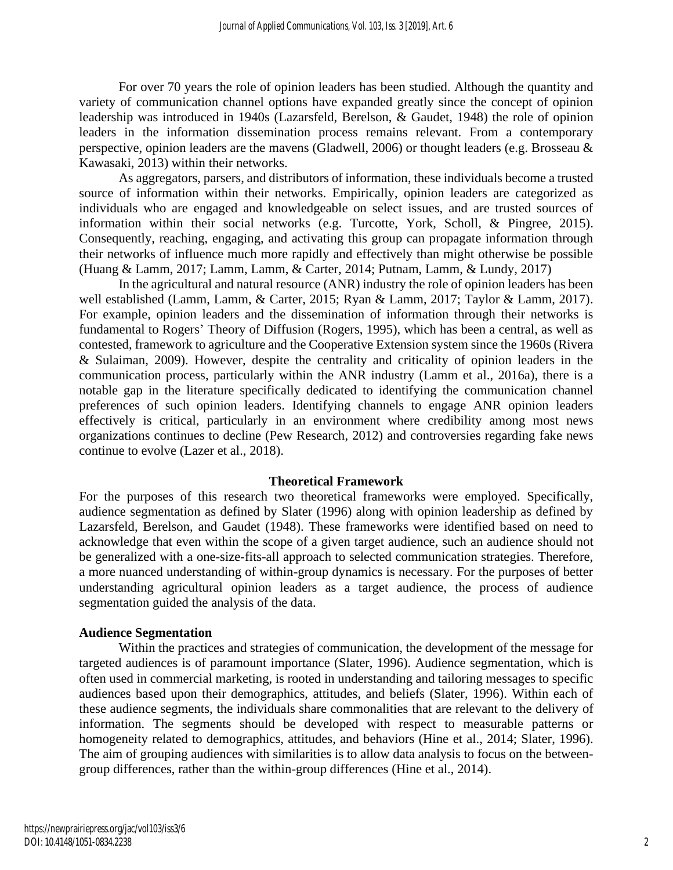For over 70 years the role of opinion leaders has been studied. Although the quantity and variety of communication channel options have expanded greatly since the concept of opinion leadership was introduced in 1940s (Lazarsfeld, Berelson, & Gaudet, 1948) the role of opinion leaders in the information dissemination process remains relevant. From a contemporary perspective, opinion leaders are the mavens (Gladwell, 2006) or thought leaders (e.g. Brosseau & Kawasaki, 2013) within their networks.

As aggregators, parsers, and distributors of information, these individuals become a trusted source of information within their networks. Empirically, opinion leaders are categorized as individuals who are engaged and knowledgeable on select issues, and are trusted sources of information within their social networks (e.g. Turcotte, York, Scholl, & Pingree, 2015). Consequently, reaching, engaging, and activating this group can propagate information through their networks of influence much more rapidly and effectively than might otherwise be possible (Huang & Lamm, 2017; Lamm, Lamm, & Carter, 2014; Putnam, Lamm, & Lundy, 2017)

In the agricultural and natural resource (ANR) industry the role of opinion leaders has been well established (Lamm, Lamm, & Carter, 2015; Ryan & Lamm, 2017; Taylor & Lamm, 2017). For example, opinion leaders and the dissemination of information through their networks is fundamental to Rogers' Theory of Diffusion (Rogers, 1995), which has been a central, as well as contested, framework to agriculture and the Cooperative Extension system since the 1960s (Rivera & Sulaiman, 2009). However, despite the centrality and criticality of opinion leaders in the communication process, particularly within the ANR industry (Lamm et al., 2016a), there is a notable gap in the literature specifically dedicated to identifying the communication channel preferences of such opinion leaders. Identifying channels to engage ANR opinion leaders effectively is critical, particularly in an environment where credibility among most news organizations continues to decline (Pew Research, 2012) and controversies regarding fake news continue to evolve (Lazer et al., 2018).

#### **Theoretical Framework**

For the purposes of this research two theoretical frameworks were employed. Specifically, audience segmentation as defined by Slater (1996) along with opinion leadership as defined by Lazarsfeld, Berelson, and Gaudet (1948). These frameworks were identified based on need to acknowledge that even within the scope of a given target audience, such an audience should not be generalized with a one-size-fits-all approach to selected communication strategies. Therefore, a more nuanced understanding of within-group dynamics is necessary. For the purposes of better understanding agricultural opinion leaders as a target audience, the process of audience segmentation guided the analysis of the data.

#### **Audience Segmentation**

Within the practices and strategies of communication, the development of the message for targeted audiences is of paramount importance (Slater, 1996). Audience segmentation, which is often used in commercial marketing, is rooted in understanding and tailoring messages to specific audiences based upon their demographics, attitudes, and beliefs (Slater, 1996). Within each of these audience segments, the individuals share commonalities that are relevant to the delivery of information. The segments should be developed with respect to measurable patterns or homogeneity related to demographics, attitudes, and behaviors (Hine et al., 2014; Slater, 1996). The aim of grouping audiences with similarities is to allow data analysis to focus on the betweengroup differences, rather than the within-group differences (Hine et al., 2014).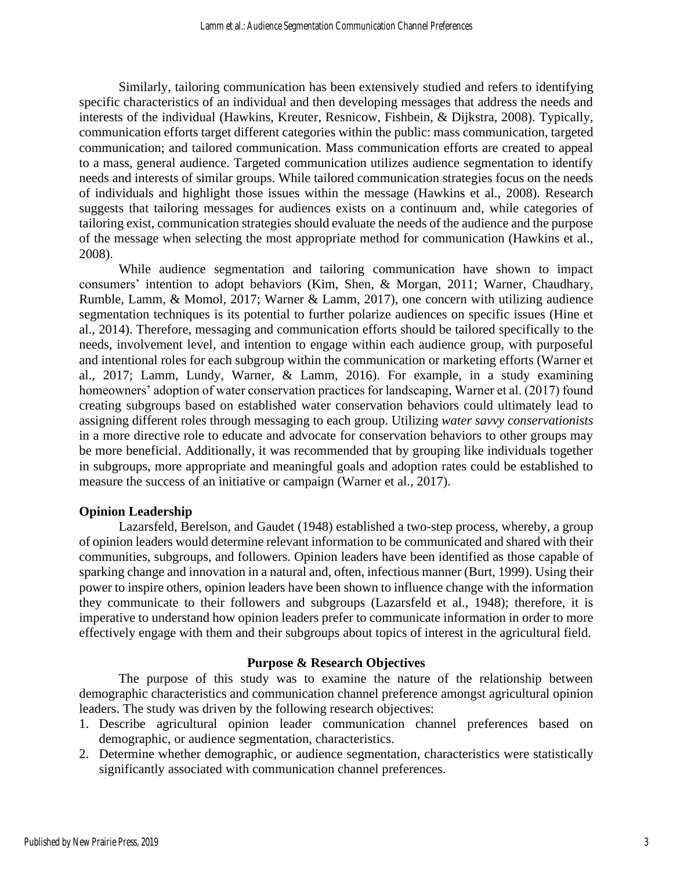Similarly, tailoring communication has been extensively studied and refers to identifying specific characteristics of an individual and then developing messages that address the needs and interests of the individual (Hawkins, Kreuter, Resnicow, Fishbein, & Dijkstra, 2008). Typically, communication efforts target different categories within the public: mass communication, targeted communication; and tailored communication. Mass communication efforts are created to appeal to a mass, general audience. Targeted communication utilizes audience segmentation to identify needs and interests of similar groups. While tailored communication strategies focus on the needs of individuals and highlight those issues within the message (Hawkins et al., 2008). Research suggests that tailoring messages for audiences exists on a continuum and, while categories of tailoring exist, communication strategies should evaluate the needs of the audience and the purpose of the message when selecting the most appropriate method for communication (Hawkins et al., 2008).

While audience segmentation and tailoring communication have shown to impact consumers' intention to adopt behaviors (Kim, Shen, & Morgan, 2011; Warner, Chaudhary, Rumble, Lamm, & Momol, 2017; Warner & Lamm, 2017), one concern with utilizing audience segmentation techniques is its potential to further polarize audiences on specific issues (Hine et al., 2014). Therefore, messaging and communication efforts should be tailored specifically to the needs, involvement level, and intention to engage within each audience group, with purposeful and intentional roles for each subgroup within the communication or marketing efforts (Warner et al., 2017; Lamm, Lundy, Warner, & Lamm, 2016). For example, in a study examining homeowners' adoption of water conservation practices for landscaping, Warner et al. (2017) found creating subgroups based on established water conservation behaviors could ultimately lead to assigning different roles through messaging to each group. Utilizing *water savvy conservationists* in a more directive role to educate and advocate for conservation behaviors to other groups may be more beneficial. Additionally, it was recommended that by grouping like individuals together in subgroups, more appropriate and meaningful goals and adoption rates could be established to measure the success of an initiative or campaign (Warner et al., 2017).

#### **Opinion Leadership**

Lazarsfeld, Berelson, and Gaudet (1948) established a two-step process, whereby, a group of opinion leaders would determine relevant information to be communicated and shared with their communities, subgroups, and followers. Opinion leaders have been identified as those capable of sparking change and innovation in a natural and, often, infectious manner (Burt, 1999). Using their power to inspire others, opinion leaders have been shown to influence change with the information they communicate to their followers and subgroups (Lazarsfeld et al., 1948); therefore, it is imperative to understand how opinion leaders prefer to communicate information in order to more effectively engage with them and their subgroups about topics of interest in the agricultural field.

#### **Purpose & Research Objectives**

The purpose of this study was to examine the nature of the relationship between demographic characteristics and communication channel preference amongst agricultural opinion leaders. The study was driven by the following research objectives:

- 1. Describe agricultural opinion leader communication channel preferences based on demographic, or audience segmentation, characteristics.
- 2. Determine whether demographic, or audience segmentation, characteristics were statistically significantly associated with communication channel preferences.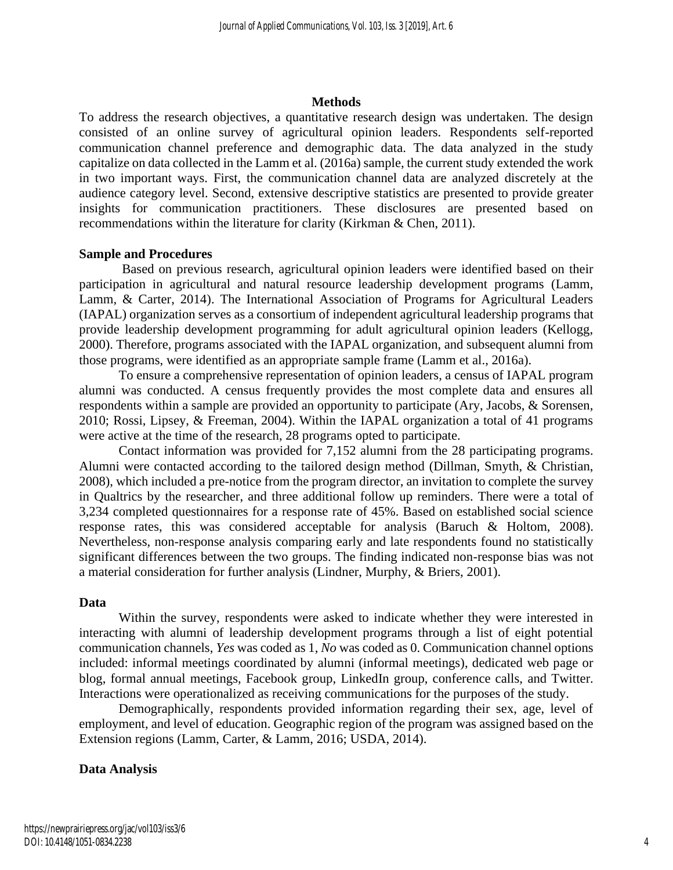#### **Methods**

To address the research objectives, a quantitative research design was undertaken. The design consisted of an online survey of agricultural opinion leaders. Respondents self-reported communication channel preference and demographic data. The data analyzed in the study capitalize on data collected in the Lamm et al. (2016a) sample, the current study extended the work in two important ways. First, the communication channel data are analyzed discretely at the audience category level. Second, extensive descriptive statistics are presented to provide greater insights for communication practitioners. These disclosures are presented based on recommendations within the literature for clarity (Kirkman & Chen, 2011).

#### **Sample and Procedures**

Based on previous research, agricultural opinion leaders were identified based on their participation in agricultural and natural resource leadership development programs (Lamm, Lamm, & Carter, 2014). The International Association of Programs for Agricultural Leaders (IAPAL) organization serves as a consortium of independent agricultural leadership programs that provide leadership development programming for adult agricultural opinion leaders (Kellogg, 2000). Therefore, programs associated with the IAPAL organization, and subsequent alumni from those programs, were identified as an appropriate sample frame (Lamm et al., 2016a).

To ensure a comprehensive representation of opinion leaders, a census of IAPAL program alumni was conducted. A census frequently provides the most complete data and ensures all respondents within a sample are provided an opportunity to participate (Ary, Jacobs, & Sorensen, 2010; Rossi, Lipsey, & Freeman, 2004). Within the IAPAL organization a total of 41 programs were active at the time of the research, 28 programs opted to participate.

Contact information was provided for 7,152 alumni from the 28 participating programs. Alumni were contacted according to the tailored design method (Dillman, Smyth, & Christian, 2008), which included a pre-notice from the program director, an invitation to complete the survey in Qualtrics by the researcher, and three additional follow up reminders. There were a total of 3,234 completed questionnaires for a response rate of 45%. Based on established social science response rates, this was considered acceptable for analysis (Baruch & Holtom, 2008). Nevertheless, non-response analysis comparing early and late respondents found no statistically significant differences between the two groups. The finding indicated non-response bias was not a material consideration for further analysis (Lindner, Murphy, & Briers, 2001).

#### **Data**

Within the survey, respondents were asked to indicate whether they were interested in interacting with alumni of leadership development programs through a list of eight potential communication channels, *Yes* was coded as 1, *No* was coded as 0. Communication channel options included: informal meetings coordinated by alumni (informal meetings), dedicated web page or blog, formal annual meetings, Facebook group, LinkedIn group, conference calls, and Twitter. Interactions were operationalized as receiving communications for the purposes of the study.

Demographically, respondents provided information regarding their sex, age, level of employment, and level of education. Geographic region of the program was assigned based on the Extension regions (Lamm, Carter, & Lamm, 2016; USDA, 2014).

#### **Data Analysis**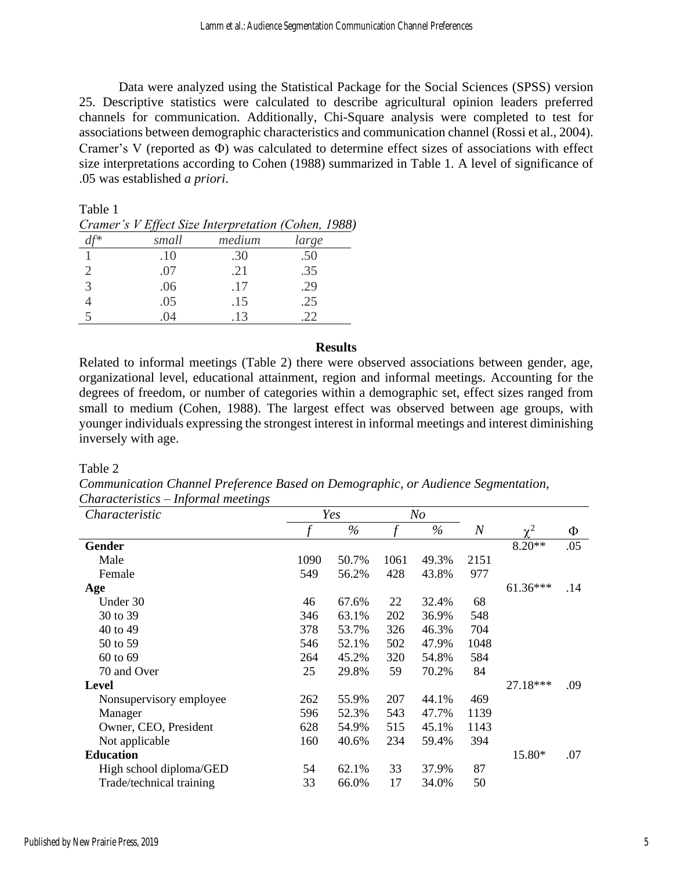Data were analyzed using the Statistical Package for the Social Sciences (SPSS) version 25. Descriptive statistics were calculated to describe agricultural opinion leaders preferred channels for communication. Additionally, Chi-Square analysis were completed to test for associations between demographic characteristics and communication channel (Rossi et al., 2004). Cramer's V (reported as  $\Phi$ ) was calculated to determine effect sizes of associations with effect size interpretations according to Cohen (1988) summarized in Table 1. A level of significance of .05 was established *a priori*.

Table 1

|--|

|   | small | medium | large |
|---|-------|--------|-------|
|   | .10   | .30    | .50   |
|   | .07   | .21    | .35   |
| 3 | .06   | .17    | .29   |
|   | .05   | .15    | .25   |
|   | 04    | .13    |       |

#### **Results**

Related to informal meetings (Table 2) there were observed associations between gender, age, organizational level, educational attainment, region and informal meetings. Accounting for the degrees of freedom, or number of categories within a demographic set, effect sizes ranged from small to medium (Cohen, 1988). The largest effect was observed between age groups, with younger individuals expressing the strongest interest in informal meetings and interest diminishing inversely with age.

#### Table 2

*Communication Channel Preference Based on Demographic, or Audience Segmentation, Characteristics – Informal meetings* 

| Characteristic           |      | Yes   |      | N <sub>o</sub> |                |            |     |
|--------------------------|------|-------|------|----------------|----------------|------------|-----|
|                          |      | $\%$  |      | $\%$           | $\overline{N}$ | $v^2$      | Φ   |
| Gender                   |      |       |      |                |                | $8.20**$   | .05 |
| Male                     | 1090 | 50.7% | 1061 | 49.3%          | 2151           |            |     |
| Female                   | 549  | 56.2% | 428  | 43.8%          | 977            |            |     |
| Age                      |      |       |      |                |                | $61.36***$ | .14 |
| Under 30                 | 46   | 67.6% | 22   | 32.4%          | 68             |            |     |
| 30 to 39                 | 346  | 63.1% | 202  | 36.9%          | 548            |            |     |
| 40 to 49                 | 378  | 53.7% | 326  | 46.3%          | 704            |            |     |
| 50 to 59                 | 546  | 52.1% | 502  | 47.9%          | 1048           |            |     |
| 60 to 69                 | 264  | 45.2% | 320  | 54.8%          | 584            |            |     |
| 70 and Over              | 25   | 29.8% | 59   | 70.2%          | 84             |            |     |
| Level                    |      |       |      |                |                | 27.18***   | .09 |
| Nonsupervisory employee  | 262  | 55.9% | 207  | 44.1%          | 469            |            |     |
| Manager                  | 596  | 52.3% | 543  | 47.7%          | 1139           |            |     |
| Owner, CEO, President    | 628  | 54.9% | 515  | 45.1%          | 1143           |            |     |
| Not applicable           | 160  | 40.6% | 234  | 59.4%          | 394            |            |     |
| <b>Education</b>         |      |       |      |                |                | 15.80*     | .07 |
| High school diploma/GED  | 54   | 62.1% | 33   | 37.9%          | 87             |            |     |
| Trade/technical training | 33   | 66.0% | 17   | 34.0%          | 50             |            |     |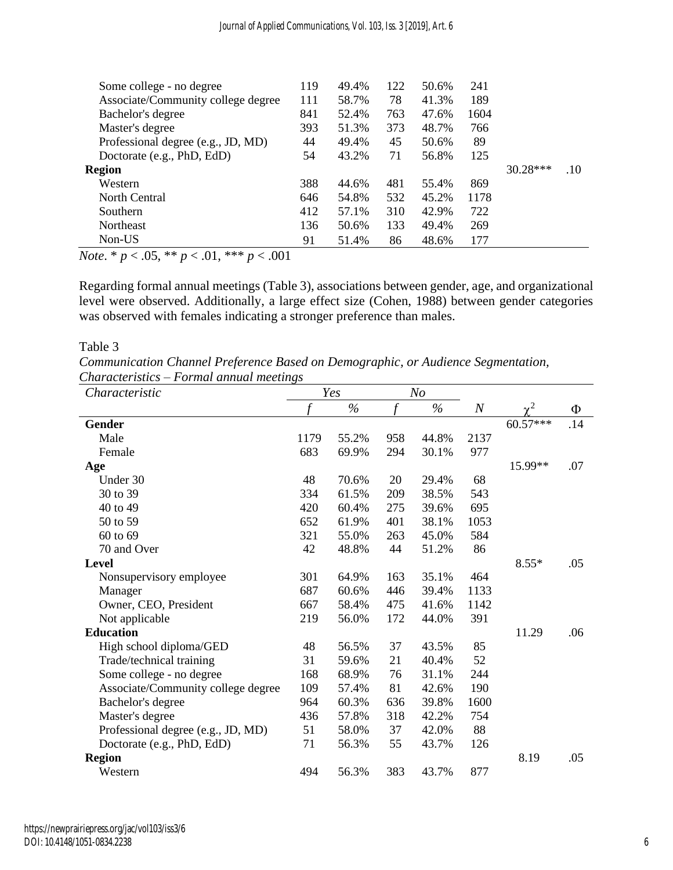| Some college - no degree           | 119 | 49.4% | 122 | 50.6% | 241  |            |     |
|------------------------------------|-----|-------|-----|-------|------|------------|-----|
| Associate/Community college degree | 111 | 58.7% | 78  | 41.3% | 189  |            |     |
| Bachelor's degree                  | 841 | 52.4% | 763 | 47.6% | 1604 |            |     |
| Master's degree                    | 393 | 51.3% | 373 | 48.7% | 766  |            |     |
| Professional degree (e.g., JD, MD) | 44  | 49.4% | 45  | 50.6% | 89   |            |     |
| Doctorate (e.g., PhD, EdD)         | 54  | 43.2% | 71  | 56.8% | 125  |            |     |
| <b>Region</b>                      |     |       |     |       |      | $30.28***$ | .10 |
| Western                            | 388 | 44.6% | 481 | 55.4% | 869  |            |     |
| North Central                      | 646 | 54.8% | 532 | 45.2% | 1178 |            |     |
| <b>Southern</b>                    | 412 | 57.1% | 310 | 42.9% | 722  |            |     |
| <b>Northeast</b>                   | 136 | 50.6% | 133 | 49.4% | 269  |            |     |
| Non-US                             | 91  | 51.4% | 86  | 48.6% | 177  |            |     |
|                                    |     |       |     |       |      |            |     |

*Note*. \* *p* < .05, \*\* *p* < .01, \*\*\* *p* < .001

Regarding formal annual meetings (Table 3), associations between gender, age, and organizational level were observed. Additionally, a large effect size (Cohen, 1988) between gender categories was observed with females indicating a stronger preference than males.

#### Table 3

*Communication Channel Preference Based on Demographic, or Audience Segmentation, Characteristics – Formal annual meetings*

| Characteristic                     |      | Yes   |               | N <sub>O</sub> |                  |          |     |
|------------------------------------|------|-------|---------------|----------------|------------------|----------|-----|
|                                    |      | $\%$  | $\mathcal{f}$ | $\%$           | $\boldsymbol{N}$ | $\chi^2$ | Φ   |
| <b>Gender</b>                      |      |       |               |                |                  | 60.57*** | .14 |
| Male                               | 1179 | 55.2% | 958           | 44.8%          | 2137             |          |     |
| Female                             | 683  | 69.9% | 294           | 30.1%          | 977              |          |     |
| Age                                |      |       |               |                |                  | 15.99**  | .07 |
| Under 30                           | 48   | 70.6% | 20            | 29.4%          | 68               |          |     |
| 30 to 39                           | 334  | 61.5% | 209           | 38.5%          | 543              |          |     |
| 40 to 49                           | 420  | 60.4% | 275           | 39.6%          | 695              |          |     |
| 50 to 59                           | 652  | 61.9% | 401           | 38.1%          | 1053             |          |     |
| 60 to 69                           | 321  | 55.0% | 263           | 45.0%          | 584              |          |     |
| 70 and Over                        | 42   | 48.8% | 44            | 51.2%          | 86               |          |     |
| Level                              |      |       |               |                |                  | $8.55*$  | .05 |
| Nonsupervisory employee            | 301  | 64.9% | 163           | 35.1%          | 464              |          |     |
| Manager                            | 687  | 60.6% | 446           | 39.4%          | 1133             |          |     |
| Owner, CEO, President              | 667  | 58.4% | 475           | 41.6%          | 1142             |          |     |
| Not applicable                     | 219  | 56.0% | 172           | 44.0%          | 391              |          |     |
| <b>Education</b>                   |      |       |               |                |                  | 11.29    | .06 |
| High school diploma/GED            | 48   | 56.5% | 37            | 43.5%          | 85               |          |     |
| Trade/technical training           | 31   | 59.6% | 21            | 40.4%          | 52               |          |     |
| Some college - no degree           | 168  | 68.9% | 76            | 31.1%          | 244              |          |     |
| Associate/Community college degree | 109  | 57.4% | 81            | 42.6%          | 190              |          |     |
| Bachelor's degree                  | 964  | 60.3% | 636           | 39.8%          | 1600             |          |     |
| Master's degree                    | 436  | 57.8% | 318           | 42.2%          | 754              |          |     |
| Professional degree (e.g., JD, MD) | 51   | 58.0% | 37            | 42.0%          | 88               |          |     |
| Doctorate (e.g., PhD, EdD)         | 71   | 56.3% | 55            | 43.7%          | 126              |          |     |
| <b>Region</b>                      |      |       |               |                |                  | 8.19     | .05 |
| Western                            | 494  | 56.3% | 383           | 43.7%          | 877              |          |     |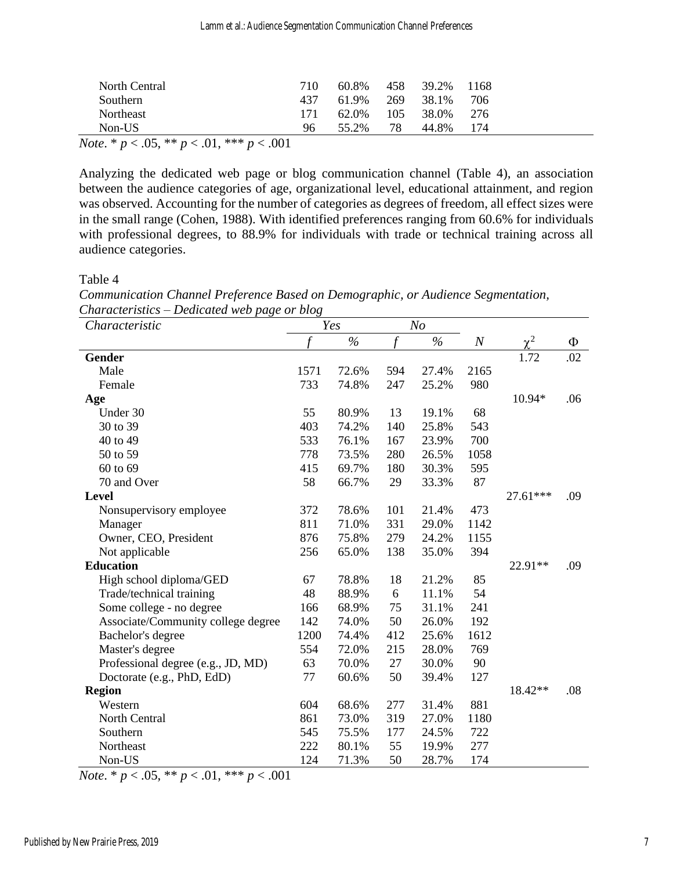| North Central                                                                    | 710         | 60.8% |       | 458 39.2% 1168    |       |  |
|----------------------------------------------------------------------------------|-------------|-------|-------|-------------------|-------|--|
| <b>Southern</b>                                                                  | 437         | 61.9% | - 269 | 38.1%             | -706  |  |
| <b>Northeast</b>                                                                 | 171         |       |       | 62.0\% 105 38.0\% | - 276 |  |
| $Non-US$                                                                         | 96          | 55.2% | 78    | 44.8%             | 174   |  |
| $\mathbf{r}$ and $\mathbf{r}$ and $\mathbf{r}$ and $\mathbf{r}$ and $\mathbf{r}$ | $\sim$ 0.01 |       |       |                   |       |  |

*Note*. \* *p* < .05, \*\* *p* < .01, \*\*\* *p* < .001

Analyzing the dedicated web page or blog communication channel (Table 4), an association between the audience categories of age, organizational level, educational attainment, and region was observed. Accounting for the number of categories as degrees of freedom, all effect sizes were in the small range (Cohen, 1988). With identified preferences ranging from 60.6% for individuals with professional degrees, to 88.9% for individuals with trade or technical training across all audience categories.

Table 4

| Characteristic                     |                             | Yes           |                | N <sub>O</sub> |          |          |     |
|------------------------------------|-----------------------------|---------------|----------------|----------------|----------|----------|-----|
|                                    | $\mathcal{L}_{\mathcal{L}}$ | $\frac{6}{6}$ | $\overline{f}$ | $\frac{0}{0}$  | $\cal N$ | $\chi^2$ | Φ   |
| <b>Gender</b>                      |                             |               |                |                |          | 1.72     | .02 |
| Male                               | 1571                        | 72.6%         | 594            | 27.4%          | 2165     |          |     |
| Female                             | 733                         | 74.8%         | 247            | 25.2%          | 980      |          |     |
| Age                                |                             |               |                |                |          | 10.94*   | .06 |
| Under 30                           | 55                          | 80.9%         | 13             | 19.1%          | 68       |          |     |
| 30 to 39                           | 403                         | 74.2%         | 140            | 25.8%          | 543      |          |     |
| 40 to 49                           | 533                         | 76.1%         | 167            | 23.9%          | 700      |          |     |
| 50 to 59                           | 778                         | 73.5%         | 280            | 26.5%          | 1058     |          |     |
| 60 to 69                           | 415                         | 69.7%         | 180            | 30.3%          | 595      |          |     |
| 70 and Over                        | 58                          | 66.7%         | 29             | 33.3%          | 87       |          |     |
| <b>Level</b>                       |                             |               |                |                |          | 27.61*** | .09 |
| Nonsupervisory employee            | 372                         | 78.6%         | 101            | 21.4%          | 473      |          |     |
| Manager                            | 811                         | 71.0%         | 331            | 29.0%          | 1142     |          |     |
| Owner, CEO, President              | 876                         | 75.8%         | 279            | 24.2%          | 1155     |          |     |
| Not applicable                     | 256                         | 65.0%         | 138            | 35.0%          | 394      |          |     |
| <b>Education</b>                   |                             |               |                |                |          | 22.91**  | .09 |
| High school diploma/GED            | 67                          | 78.8%         | 18             | 21.2%          | 85       |          |     |
| Trade/technical training           | 48                          | 88.9%         | 6              | 11.1%          | 54       |          |     |
| Some college - no degree           | 166                         | 68.9%         | 75             | 31.1%          | 241      |          |     |
| Associate/Community college degree | 142                         | 74.0%         | 50             | 26.0%          | 192      |          |     |
| Bachelor's degree                  | 1200                        | 74.4%         | 412            | 25.6%          | 1612     |          |     |
| Master's degree                    | 554                         | 72.0%         | 215            | 28.0%          | 769      |          |     |
| Professional degree (e.g., JD, MD) | 63                          | 70.0%         | 27             | 30.0%          | 90       |          |     |
| Doctorate (e.g., PhD, EdD)         | 77                          | 60.6%         | 50             | 39.4%          | 127      |          |     |
| <b>Region</b>                      |                             |               |                |                |          | 18.42**  | .08 |
| Western                            | 604                         | 68.6%         | 277            | 31.4%          | 881      |          |     |
| North Central                      | 861                         | 73.0%         | 319            | 27.0%          | 1180     |          |     |
| Southern                           | 545                         | 75.5%         | 177            | 24.5%          | 722      |          |     |
| Northeast                          | 222                         | 80.1%         | 55             | 19.9%          | 277      |          |     |
| Non-US                             | 124                         | 71.3%         | 50             | 28.7%          | 174      |          |     |

*Communication Channel Preference Based on Demographic, or Audience Segmentation,*

*Note*. \* *p* < .05, \*\* *p* < .01, \*\*\* *p* < .001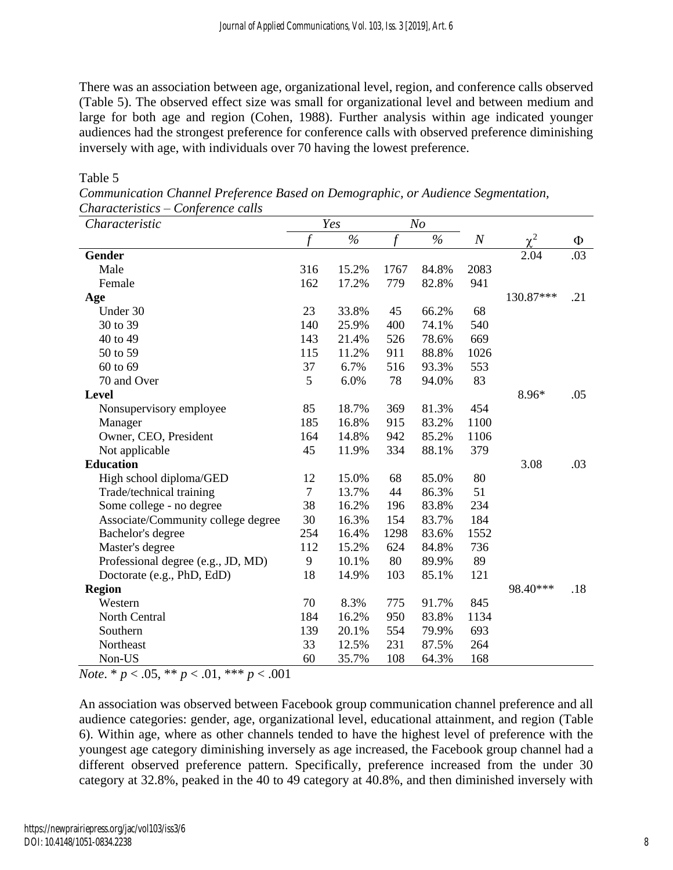There was an association between age, organizational level, region, and conference calls observed (Table 5). The observed effect size was small for organizational level and between medium and large for both age and region (Cohen, 1988). Further analysis within age indicated younger audiences had the strongest preference for conference calls with observed preference diminishing inversely with age, with individuals over 70 having the lowest preference.

| Characteristic                     |        | Yes   |                | N <sub>O</sub> |       |            |     |
|------------------------------------|--------|-------|----------------|----------------|-------|------------|-----|
|                                    |        | $\%$  | $\overline{f}$ | $\%$           | $\,N$ | $\gamma^2$ | Ф   |
| <b>Gender</b>                      |        |       |                |                |       | 2.04       | .03 |
| Male                               | 316    | 15.2% | 1767           | 84.8%          | 2083  |            |     |
| Female                             | 162    | 17.2% | 779            | 82.8%          | 941   |            |     |
| Age                                |        |       |                |                |       | 130.87***  | .21 |
| Under 30                           | 23     | 33.8% | 45             | 66.2%          | 68    |            |     |
| 30 to 39                           | 140    | 25.9% | 400            | 74.1%          | 540   |            |     |
| 40 to 49                           | 143    | 21.4% | 526            | 78.6%          | 669   |            |     |
| 50 to 59                           | 115    | 11.2% | 911            | 88.8%          | 1026  |            |     |
| 60 to 69                           | 37     | 6.7%  | 516            | 93.3%          | 553   |            |     |
| 70 and Over                        | 5      | 6.0%  | 78             | 94.0%          | 83    |            |     |
| Level                              |        |       |                |                |       | 8.96*      | .05 |
| Nonsupervisory employee            | 85     | 18.7% | 369            | 81.3%          | 454   |            |     |
| Manager                            | 185    | 16.8% | 915            | 83.2%          | 1100  |            |     |
| Owner, CEO, President              | 164    | 14.8% | 942            | 85.2%          | 1106  |            |     |
| Not applicable                     | 45     | 11.9% | 334            | 88.1%          | 379   |            |     |
| <b>Education</b>                   |        |       |                |                |       | 3.08       | .03 |
| High school diploma/GED            | 12     | 15.0% | 68             | 85.0%          | 80    |            |     |
| Trade/technical training           | $\tau$ | 13.7% | 44             | 86.3%          | 51    |            |     |
| Some college - no degree           | 38     | 16.2% | 196            | 83.8%          | 234   |            |     |
| Associate/Community college degree | 30     | 16.3% | 154            | 83.7%          | 184   |            |     |
| Bachelor's degree                  | 254    | 16.4% | 1298           | 83.6%          | 1552  |            |     |
| Master's degree                    | 112    | 15.2% | 624            | 84.8%          | 736   |            |     |
| Professional degree (e.g., JD, MD) | 9      | 10.1% | 80             | 89.9%          | 89    |            |     |
| Doctorate (e.g., PhD, EdD)         | 18     | 14.9% | 103            | 85.1%          | 121   |            |     |
| <b>Region</b>                      |        |       |                |                |       | 98.40***   | .18 |
| Western                            | 70     | 8.3%  | 775            | 91.7%          | 845   |            |     |
| North Central                      | 184    | 16.2% | 950            | 83.8%          | 1134  |            |     |

#### Table 5

*Communication Channel Preference Based on Demographic, or Audience Segmentation, Characteristics – Conference calls*

*Note*. \* *p* < .05, \*\* *p* < .01, \*\*\* *p* < .001

An association was observed between Facebook group communication channel preference and all audience categories: gender, age, organizational level, educational attainment, and region (Table 6). Within age, where as other channels tended to have the highest level of preference with the youngest age category diminishing inversely as age increased, the Facebook group channel had a different observed preference pattern. Specifically, preference increased from the under 30 category at 32.8%, peaked in the 40 to 49 category at 40.8%, and then diminished inversely with

Southern 139 20.1% 554 79.9% 693 Northeast 33 12.5% 231 87.5% 264 Non-US 60 35.7% 108 64.3% 168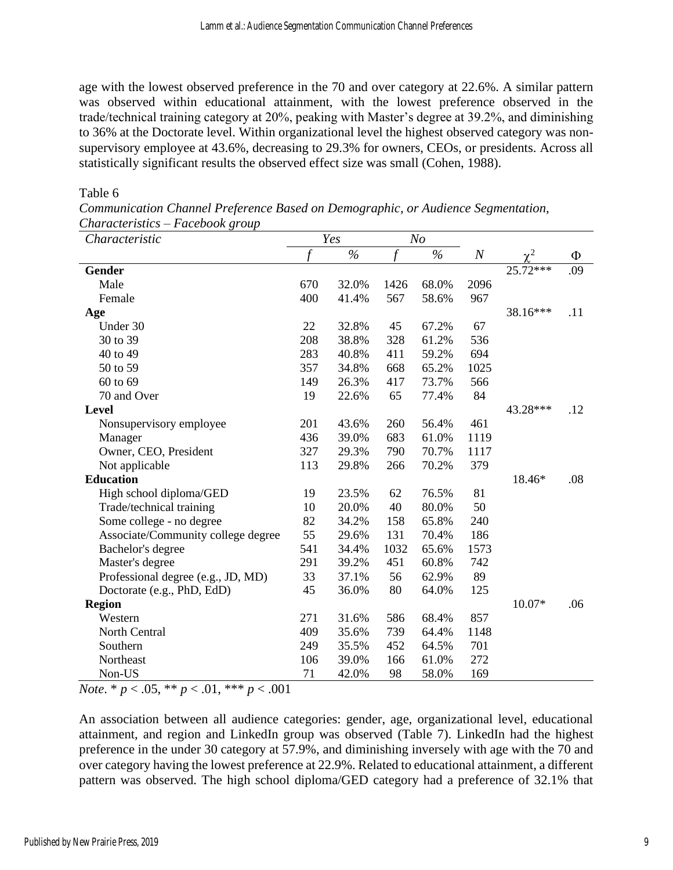age with the lowest observed preference in the 70 and over category at 22.6%. A similar pattern was observed within educational attainment, with the lowest preference observed in the trade/technical training category at 20%, peaking with Master's degree at 39.2%, and diminishing to 36% at the Doctorate level. Within organizational level the highest observed category was nonsupervisory employee at 43.6%, decreasing to 29.3% for owners, CEOs, or presidents. Across all statistically significant results the observed effect size was small (Cohen, 1988).

#### Table 6

| Characteristics – Facebook group<br>Characteristic |     | Yes   |      | N <sub>O</sub> |                  |                |     |
|----------------------------------------------------|-----|-------|------|----------------|------------------|----------------|-----|
|                                                    |     | $\%$  | f    | $\%$           | $\boldsymbol{N}$ | $\mathbf{v}^2$ | Φ   |
| <b>Gender</b>                                      |     |       |      |                |                  | 25.72***       | .09 |
| Male                                               | 670 | 32.0% | 1426 | 68.0%          | 2096             |                |     |
| Female                                             | 400 | 41.4% | 567  | 58.6%          | 967              |                |     |
| Age                                                |     |       |      |                |                  | 38.16***       | .11 |
| Under 30                                           | 22  | 32.8% | 45   | 67.2%          | 67               |                |     |
| 30 to 39                                           | 208 | 38.8% | 328  | 61.2%          | 536              |                |     |
| 40 to 49                                           | 283 | 40.8% | 411  | 59.2%          | 694              |                |     |
| 50 to 59                                           | 357 | 34.8% | 668  | 65.2%          | 1025             |                |     |
| 60 to 69                                           | 149 | 26.3% | 417  | 73.7%          | 566              |                |     |
| 70 and Over                                        | 19  | 22.6% | 65   | 77.4%          | 84               |                |     |
| <b>Level</b>                                       |     |       |      |                |                  | 43.28***       | .12 |
| Nonsupervisory employee                            | 201 | 43.6% | 260  | 56.4%          | 461              |                |     |
| Manager                                            | 436 | 39.0% | 683  | 61.0%          | 1119             |                |     |
| Owner, CEO, President                              | 327 | 29.3% | 790  | 70.7%          | 1117             |                |     |
| Not applicable                                     | 113 | 29.8% | 266  | 70.2%          | 379              |                |     |
| <b>Education</b>                                   |     |       |      |                |                  | 18.46*         | .08 |
| High school diploma/GED                            | 19  | 23.5% | 62   | 76.5%          | 81               |                |     |
| Trade/technical training                           | 10  | 20.0% | 40   | 80.0%          | 50               |                |     |
| Some college - no degree                           | 82  | 34.2% | 158  | 65.8%          | 240              |                |     |
| Associate/Community college degree                 | 55  | 29.6% | 131  | 70.4%          | 186              |                |     |
| Bachelor's degree                                  | 541 | 34.4% | 1032 | 65.6%          | 1573             |                |     |
| Master's degree                                    | 291 | 39.2% | 451  | 60.8%          | 742              |                |     |
| Professional degree (e.g., JD, MD)                 | 33  | 37.1% | 56   | 62.9%          | 89               |                |     |
| Doctorate (e.g., PhD, EdD)                         | 45  | 36.0% | 80   | 64.0%          | 125              |                |     |
| <b>Region</b>                                      |     |       |      |                |                  | 10.07*         | .06 |
| Western                                            | 271 | 31.6% | 586  | 68.4%          | 857              |                |     |
| North Central                                      | 409 | 35.6% | 739  | 64.4%          | 1148             |                |     |

*Communication Channel Preference Based on Demographic, or Audience Segmentation, Characteristics – Facebook group*

*Note*. \* *p* < .05, \*\* *p* < .01, \*\*\* *p* < .001

An association between all audience categories: gender, age, organizational level, educational attainment, and region and LinkedIn group was observed (Table 7). LinkedIn had the highest preference in the under 30 category at 57.9%, and diminishing inversely with age with the 70 and over category having the lowest preference at 22.9%. Related to educational attainment, a different pattern was observed. The high school diploma/GED category had a preference of 32.1% that

Southern 249 35.5% 452 64.5% 701 Northeast 106 39.0% 166 61.0% 272 Non-US 71 42.0% 98 58.0% 169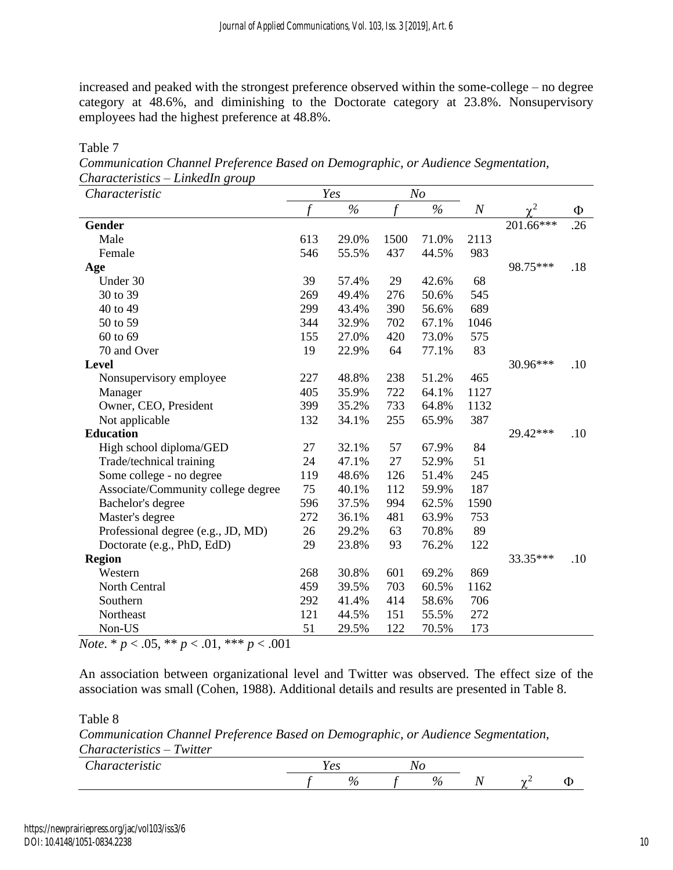increased and peaked with the strongest preference observed within the some-college – no degree category at 48.6%, and diminishing to the Doctorate category at 23.8%. Nonsupervisory employees had the highest preference at 48.8%.

| Characteristic                     |     | Yes   |      | N <sub>O</sub> |          |           |     |
|------------------------------------|-----|-------|------|----------------|----------|-----------|-----|
|                                    | f   | $\%$  | f    | $\%$           | $\cal N$ | $\chi^2$  | Φ   |
| <b>Gender</b>                      |     |       |      |                |          | 201.66*** | .26 |
| Male                               | 613 | 29.0% | 1500 | 71.0%          | 2113     |           |     |
| Female                             | 546 | 55.5% | 437  | 44.5%          | 983      |           |     |
| Age                                |     |       |      |                |          | 98.75***  | .18 |
| Under 30                           | 39  | 57.4% | 29   | 42.6%          | 68       |           |     |
| 30 to 39                           | 269 | 49.4% | 276  | 50.6%          | 545      |           |     |
| 40 to 49                           | 299 | 43.4% | 390  | 56.6%          | 689      |           |     |
| 50 to 59                           | 344 | 32.9% | 702  | 67.1%          | 1046     |           |     |
| 60 to 69                           | 155 | 27.0% | 420  | 73.0%          | 575      |           |     |
| 70 and Over                        | 19  | 22.9% | 64   | 77.1%          | 83       |           |     |
| <b>Level</b>                       |     |       |      |                |          | 30.96***  | .10 |
| Nonsupervisory employee            | 227 | 48.8% | 238  | 51.2%          | 465      |           |     |
| Manager                            | 405 | 35.9% | 722  | 64.1%          | 1127     |           |     |
| Owner, CEO, President              | 399 | 35.2% | 733  | 64.8%          | 1132     |           |     |
| Not applicable                     | 132 | 34.1% | 255  | 65.9%          | 387      |           |     |
| <b>Education</b>                   |     |       |      |                |          | 29.42***  | .10 |
| High school diploma/GED            | 27  | 32.1% | 57   | 67.9%          | 84       |           |     |
| Trade/technical training           | 24  | 47.1% | 27   | 52.9%          | 51       |           |     |
| Some college - no degree           | 119 | 48.6% | 126  | 51.4%          | 245      |           |     |
| Associate/Community college degree | 75  | 40.1% | 112  | 59.9%          | 187      |           |     |
| Bachelor's degree                  | 596 | 37.5% | 994  | 62.5%          | 1590     |           |     |
| Master's degree                    | 272 | 36.1% | 481  | 63.9%          | 753      |           |     |
| Professional degree (e.g., JD, MD) | 26  | 29.2% | 63   | 70.8%          | 89       |           |     |
| Doctorate (e.g., PhD, EdD)         | 29  | 23.8% | 93   | 76.2%          | 122      |           |     |
| <b>Region</b>                      |     |       |      |                |          | 33.35***  | .10 |
| Western                            | 268 | 30.8% | 601  | 69.2%          | 869      |           |     |
| North Central                      | 459 | 39.5% | 703  | 60.5%          | 1162     |           |     |
| Southern                           | 292 | 41.4% | 414  | 58.6%          | 706      |           |     |
| Northeast                          | 121 | 44.5% | 151  | 55.5%          | 272      |           |     |
| Non-US                             | 51  | 29.5% | 122  | 70.5%          | 173      |           |     |

*Communication Channel Preference Based on Demographic, or Audience Segmentation, Characteristics – LinkedIn group*

*Note*. \* *p* < .05, \*\* *p* < .01, \*\*\* *p* < .001

An association between organizational level and Twitter was observed. The effect size of the association was small (Cohen, 1988). Additional details and results are presented in Table 8.

Table 8

Table 7

*Communication Channel Preference Based on Demographic, or Audience Segmentation, Characteristics – Twitter*

| $\sim$<br><i>' haracu</i> .<br><i>istro</i> | --<br>$\sim$<br>えもい |  |         |        |  |
|---------------------------------------------|---------------------|--|---------|--------|--|
|                                             |                     |  | 0.<br>υ | $\sim$ |  |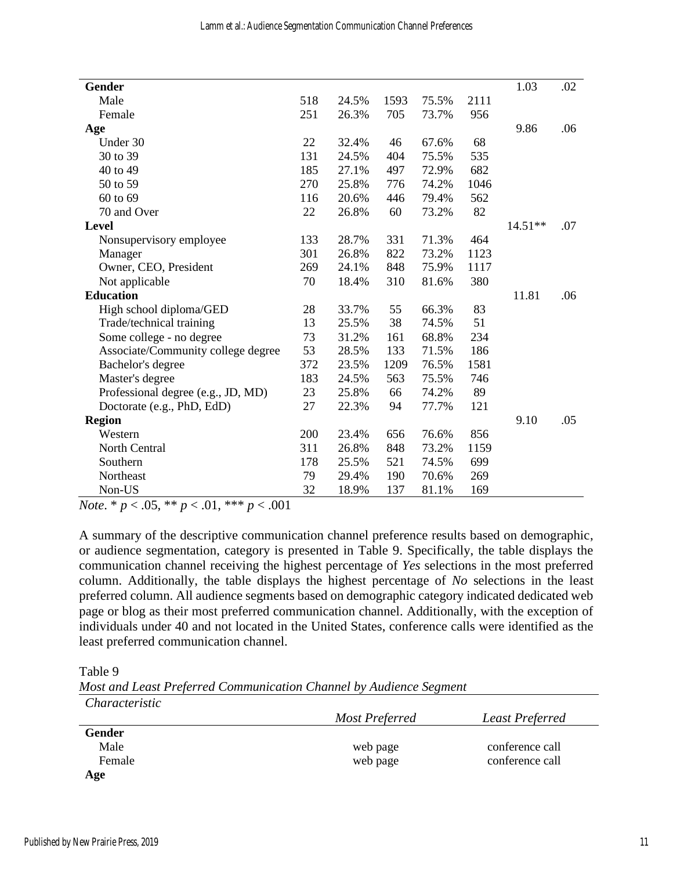| <b>Gender</b>                      |     |       |      |       |      | 1.03      | .02 |
|------------------------------------|-----|-------|------|-------|------|-----------|-----|
| Male                               | 518 | 24.5% | 1593 | 75.5% | 2111 |           |     |
| Female                             | 251 | 26.3% | 705  | 73.7% | 956  |           |     |
| Age                                |     |       |      |       |      | 9.86      | .06 |
| Under 30                           | 22  | 32.4% | 46   | 67.6% | 68   |           |     |
| 30 to 39                           | 131 | 24.5% | 404  | 75.5% | 535  |           |     |
| 40 to 49                           | 185 | 27.1% | 497  | 72.9% | 682  |           |     |
| 50 to 59                           | 270 | 25.8% | 776  | 74.2% | 1046 |           |     |
| 60 to 69                           | 116 | 20.6% | 446  | 79.4% | 562  |           |     |
| 70 and Over                        | 22  | 26.8% | 60   | 73.2% | 82   |           |     |
| Level                              |     |       |      |       |      | $14.51**$ | .07 |
| Nonsupervisory employee            | 133 | 28.7% | 331  | 71.3% | 464  |           |     |
| Manager                            | 301 | 26.8% | 822  | 73.2% | 1123 |           |     |
| Owner, CEO, President              | 269 | 24.1% | 848  | 75.9% | 1117 |           |     |
| Not applicable                     | 70  | 18.4% | 310  | 81.6% | 380  |           |     |
| <b>Education</b>                   |     |       |      |       |      | 11.81     | .06 |
| High school diploma/GED            | 28  | 33.7% | 55   | 66.3% | 83   |           |     |
| Trade/technical training           | 13  | 25.5% | 38   | 74.5% | 51   |           |     |
| Some college - no degree           | 73  | 31.2% | 161  | 68.8% | 234  |           |     |
| Associate/Community college degree | 53  | 28.5% | 133  | 71.5% | 186  |           |     |
| Bachelor's degree                  | 372 | 23.5% | 1209 | 76.5% | 1581 |           |     |
| Master's degree                    | 183 | 24.5% | 563  | 75.5% | 746  |           |     |
| Professional degree (e.g., JD, MD) | 23  | 25.8% | 66   | 74.2% | 89   |           |     |
| Doctorate (e.g., PhD, EdD)         | 27  | 22.3% | 94   | 77.7% | 121  |           |     |
| <b>Region</b>                      |     |       |      |       |      | 9.10      | .05 |
| Western                            | 200 | 23.4% | 656  | 76.6% | 856  |           |     |
| North Central                      | 311 | 26.8% | 848  | 73.2% | 1159 |           |     |
| Southern                           | 178 | 25.5% | 521  | 74.5% | 699  |           |     |
| Northeast                          | 79  | 29.4% | 190  | 70.6% | 269  |           |     |
| Non-US                             | 32  | 18.9% | 137  | 81.1% | 169  |           |     |
|                                    |     |       |      |       |      |           |     |

*Note*. \* *p* < .05, \*\* *p* < .01, \*\*\* *p* < .001

A summary of the descriptive communication channel preference results based on demographic, or audience segmentation, category is presented in Table 9. Specifically, the table displays the communication channel receiving the highest percentage of *Yes* selections in the most preferred column. Additionally, the table displays the highest percentage of *No* selections in the least preferred column. All audience segments based on demographic category indicated dedicated web page or blog as their most preferred communication channel. Additionally, with the exception of individuals under 40 and not located in the United States, conference calls were identified as the least preferred communication channel.

Table 9

*Most and Least Preferred Communication Channel by Audience Segment Characteristic*

| <u>UNUNCHI WIL</u> |                |                 |
|--------------------|----------------|-----------------|
|                    | Most Preferred | Least Preferred |
| Gender             |                |                 |
| Male               | web page       | conference call |
| Female             | web page       | conference call |
| Age                |                |                 |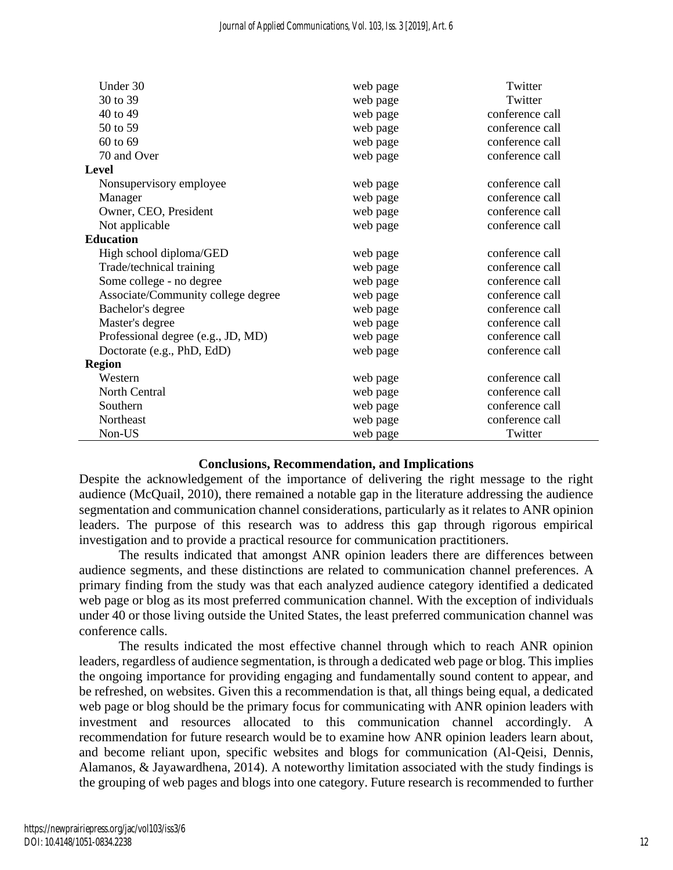| Under 30                           | web page | Twitter         |
|------------------------------------|----------|-----------------|
| 30 to 39                           | web page | Twitter         |
| 40 to 49                           | web page | conference call |
| 50 to 59                           | web page | conference call |
| 60 to 69                           | web page | conference call |
| 70 and Over                        | web page | conference call |
| <b>Level</b>                       |          |                 |
| Nonsupervisory employee            | web page | conference call |
| Manager                            | web page | conference call |
| Owner, CEO, President              | web page | conference call |
| Not applicable                     | web page | conference call |
| <b>Education</b>                   |          |                 |
| High school diploma/GED            | web page | conference call |
| Trade/technical training           | web page | conference call |
| Some college - no degree           | web page | conference call |
| Associate/Community college degree | web page | conference call |
| Bachelor's degree                  | web page | conference call |
| Master's degree                    | web page | conference call |
| Professional degree (e.g., JD, MD) | web page | conference call |
| Doctorate (e.g., PhD, EdD)         | web page | conference call |
| <b>Region</b>                      |          |                 |
| Western                            | web page | conference call |
| North Central                      | web page | conference call |
| Southern                           | web page | conference call |
| Northeast                          | web page | conference call |
| Non-US                             | web page | Twitter         |

#### **Conclusions, Recommendation, and Implications**

Despite the acknowledgement of the importance of delivering the right message to the right audience (McQuail, 2010), there remained a notable gap in the literature addressing the audience segmentation and communication channel considerations, particularly as it relates to ANR opinion leaders. The purpose of this research was to address this gap through rigorous empirical investigation and to provide a practical resource for communication practitioners.

The results indicated that amongst ANR opinion leaders there are differences between audience segments, and these distinctions are related to communication channel preferences. A primary finding from the study was that each analyzed audience category identified a dedicated web page or blog as its most preferred communication channel. With the exception of individuals under 40 or those living outside the United States, the least preferred communication channel was conference calls.

The results indicated the most effective channel through which to reach ANR opinion leaders, regardless of audience segmentation, is through a dedicated web page or blog. This implies the ongoing importance for providing engaging and fundamentally sound content to appear, and be refreshed, on websites. Given this a recommendation is that, all things being equal, a dedicated web page or blog should be the primary focus for communicating with ANR opinion leaders with investment and resources allocated to this communication channel accordingly. A recommendation for future research would be to examine how ANR opinion leaders learn about, and become reliant upon, specific websites and blogs for communication (Al-Qeisi, Dennis, Alamanos, & Jayawardhena, 2014). A noteworthy limitation associated with the study findings is the grouping of web pages and blogs into one category. Future research is recommended to further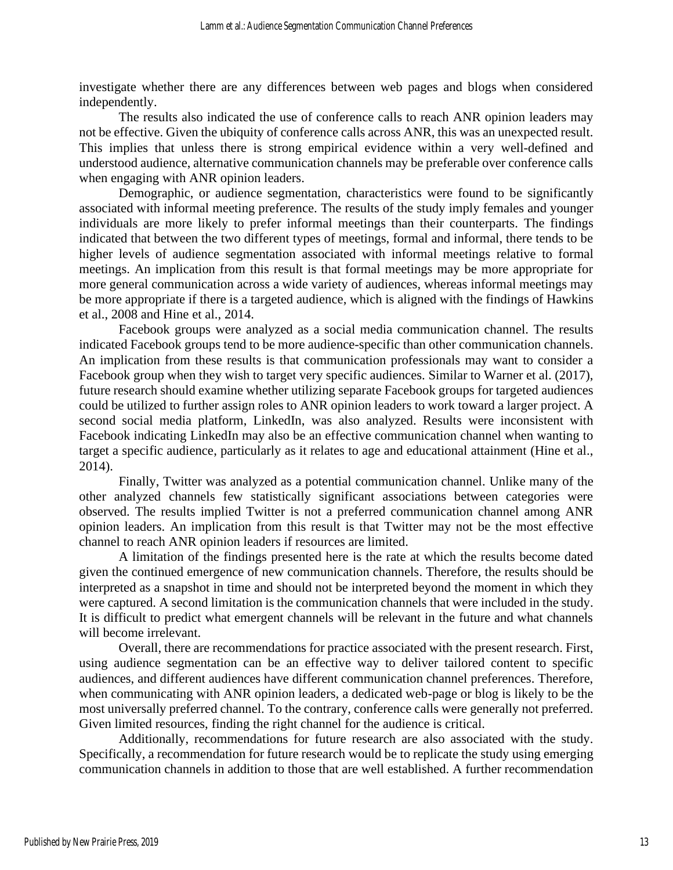investigate whether there are any differences between web pages and blogs when considered independently.

The results also indicated the use of conference calls to reach ANR opinion leaders may not be effective. Given the ubiquity of conference calls across ANR, this was an unexpected result. This implies that unless there is strong empirical evidence within a very well-defined and understood audience, alternative communication channels may be preferable over conference calls when engaging with ANR opinion leaders.

Demographic, or audience segmentation, characteristics were found to be significantly associated with informal meeting preference. The results of the study imply females and younger individuals are more likely to prefer informal meetings than their counterparts. The findings indicated that between the two different types of meetings, formal and informal, there tends to be higher levels of audience segmentation associated with informal meetings relative to formal meetings. An implication from this result is that formal meetings may be more appropriate for more general communication across a wide variety of audiences, whereas informal meetings may be more appropriate if there is a targeted audience, which is aligned with the findings of Hawkins et al., 2008 and Hine et al., 2014.

Facebook groups were analyzed as a social media communication channel. The results indicated Facebook groups tend to be more audience-specific than other communication channels. An implication from these results is that communication professionals may want to consider a Facebook group when they wish to target very specific audiences. Similar to Warner et al. (2017), future research should examine whether utilizing separate Facebook groups for targeted audiences could be utilized to further assign roles to ANR opinion leaders to work toward a larger project. A second social media platform, LinkedIn, was also analyzed. Results were inconsistent with Facebook indicating LinkedIn may also be an effective communication channel when wanting to target a specific audience, particularly as it relates to age and educational attainment (Hine et al., 2014).

Finally, Twitter was analyzed as a potential communication channel. Unlike many of the other analyzed channels few statistically significant associations between categories were observed. The results implied Twitter is not a preferred communication channel among ANR opinion leaders. An implication from this result is that Twitter may not be the most effective channel to reach ANR opinion leaders if resources are limited.

A limitation of the findings presented here is the rate at which the results become dated given the continued emergence of new communication channels. Therefore, the results should be interpreted as a snapshot in time and should not be interpreted beyond the moment in which they were captured. A second limitation is the communication channels that were included in the study. It is difficult to predict what emergent channels will be relevant in the future and what channels will become irrelevant.

Overall, there are recommendations for practice associated with the present research. First, using audience segmentation can be an effective way to deliver tailored content to specific audiences, and different audiences have different communication channel preferences. Therefore, when communicating with ANR opinion leaders, a dedicated web-page or blog is likely to be the most universally preferred channel. To the contrary, conference calls were generally not preferred. Given limited resources, finding the right channel for the audience is critical.

Additionally, recommendations for future research are also associated with the study. Specifically, a recommendation for future research would be to replicate the study using emerging communication channels in addition to those that are well established. A further recommendation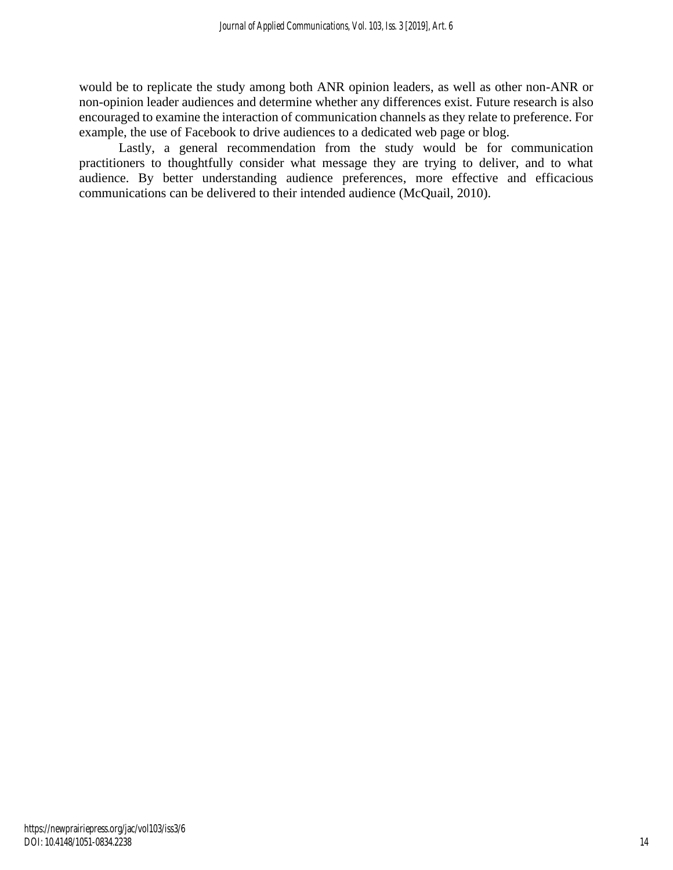would be to replicate the study among both ANR opinion leaders, as well as other non-ANR or non-opinion leader audiences and determine whether any differences exist. Future research is also encouraged to examine the interaction of communication channels as they relate to preference. For example, the use of Facebook to drive audiences to a dedicated web page or blog.

Lastly, a general recommendation from the study would be for communication practitioners to thoughtfully consider what message they are trying to deliver, and to what audience. By better understanding audience preferences, more effective and efficacious communications can be delivered to their intended audience (McQuail, 2010).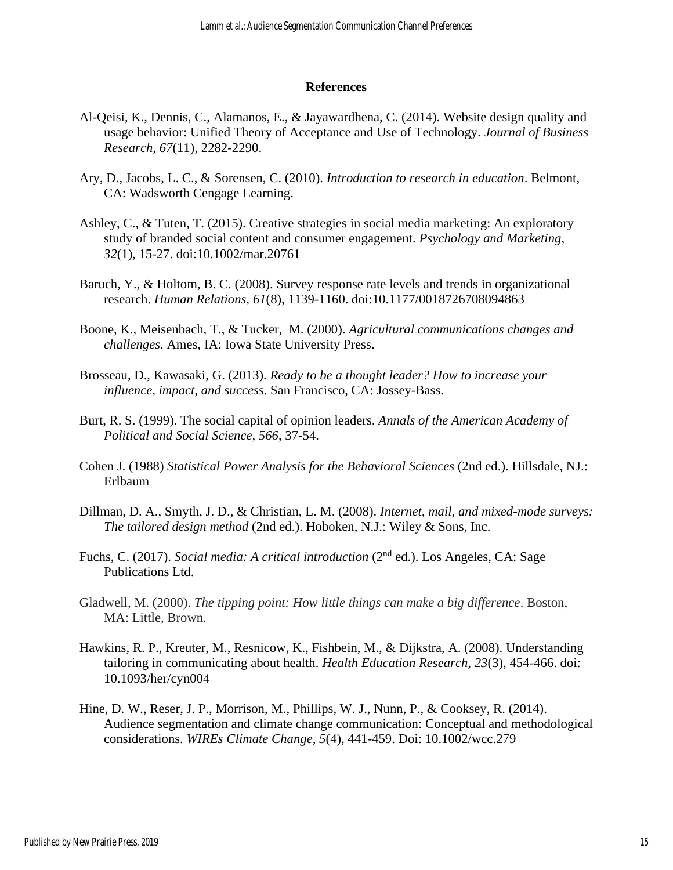#### **References**

- Al-Qeisi, K., Dennis, C., Alamanos, E., & Jayawardhena, C. (2014). Website design quality and usage behavior: Unified Theory of Acceptance and Use of Technology. *Journal of Business Research, 67*(11), 2282-2290.
- Ary, D., Jacobs, L. C., & Sorensen, C. (2010). *Introduction to research in education*. Belmont, CA: Wadsworth Cengage Learning.
- Ashley, C., & Tuten, T. (2015). Creative strategies in social media marketing: An exploratory study of branded social content and consumer engagement. *Psychology and Marketing, 32*(1), 15-27. doi:10.1002/mar.20761
- Baruch, Y., & Holtom, B. C. (2008). Survey response rate levels and trends in organizational research. *Human Relations, 61*(8), 1139-1160. doi:10.1177/0018726708094863
- Boone, K., Meisenbach, T., & Tucker, M. (2000). *Agricultural communications changes and challenges*. Ames, IA: Iowa State University Press.
- Brosseau, D., Kawasaki, G. (2013). *Ready to be a thought leader? How to increase your influence, impact, and success*. San Francisco, CA: Jossey-Bass.
- Burt, R. S. (1999). The social capital of opinion leaders. *Annals of the American Academy of Political and Social Science, 566*, 37-54.
- Cohen J. (1988) *Statistical Power Analysis for the Behavioral Sciences* (2nd ed.). Hillsdale, NJ.: Erlbaum
- Dillman, D. A., Smyth, J. D., & Christian, L. M. (2008). *Internet, mail, and mixed-mode surveys: The tailored design method* (2nd ed.). Hoboken, N.J.: Wiley & Sons, Inc.
- Fuchs, C. (2017). *Social media: A critical introduction* (2nd ed.). Los Angeles, CA: Sage Publications Ltd.
- Gladwell, M. (2000). *The tipping point: How little things can make a big difference*. Boston, MA: Little, Brown.
- Hawkins, R. P., Kreuter, M., Resnicow, K., Fishbein, M., & Dijkstra, A. (2008). Understanding tailoring in communicating about health. *Health Education Research, 23*(3), 454-466. doi: 10.1093/her/cyn004
- Hine, D. W., Reser, J. P., Morrison, M., Phillips, W. J., Nunn, P., & Cooksey, R. (2014). Audience segmentation and climate change communication: Conceptual and methodological considerations. *WIREs Climate Change, 5*(4), 441-459. Doi: 10.1002/wcc.279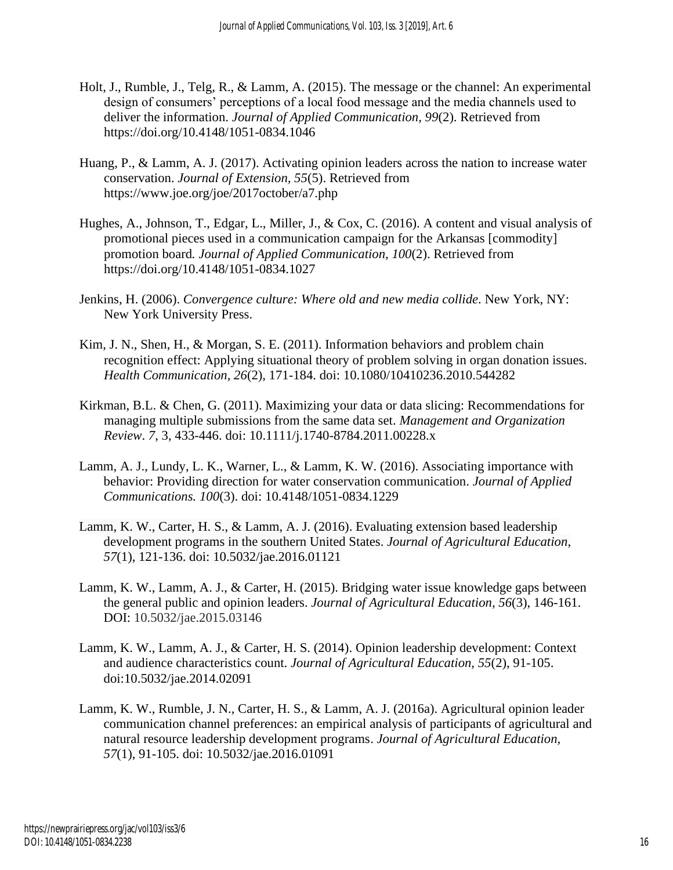- Holt, J., Rumble, J., Telg, R., & Lamm, A. (2015). The message or the channel: An experimental design of consumers' perceptions of a local food message and the media channels used to deliver the information. *Journal of Applied Communication, 99*(2). Retrieved from https://doi.org/10.4148/1051-0834.1046
- Huang, P., & Lamm, A. J. (2017). Activating opinion leaders across the nation to increase water conservation. *Journal of Extension, 55*(5). Retrieved from https://www.joe.org/joe/2017october/a7.php
- Hughes, A., Johnson, T., Edgar, L., Miller, J., & Cox, C. (2016). A content and visual analysis of promotional pieces used in a communication campaign for the Arkansas [commodity] promotion board*. Journal of Applied Communication, 100*(2). Retrieved from https://doi.org/10.4148/1051-0834.1027
- Jenkins, H. (2006). *Convergence culture: Where old and new media collide*. New York, NY: New York University Press.
- Kim, J. N., Shen, H., & Morgan, S. E. (2011). Information behaviors and problem chain recognition effect: Applying situational theory of problem solving in organ donation issues. *Health Communication, 26*(2), 171-184. doi: 10.1080/10410236.2010.544282
- Kirkman, B.L. & Chen, G. (2011). Maximizing your data or data slicing: Recommendations for managing multiple submissions from the same data set. *Management and Organization Review*. *7*, 3, 433-446. doi: 10.1111/j.1740-8784.2011.00228.x
- Lamm, A. J., Lundy, L. K., Warner, L., & Lamm, K. W. (2016). Associating importance with behavior: Providing direction for water conservation communication. *Journal of Applied Communications. 100*(3). doi: 10.4148/1051-0834.1229
- Lamm, K. W., Carter, H. S., & Lamm, A. J. (2016). Evaluating extension based leadership development programs in the southern United States. *Journal of Agricultural Education*, *57*(1), 121-136. doi: 10.5032/jae.2016.01121
- Lamm, K. W., Lamm, A. J., & Carter, H. (2015). Bridging water issue knowledge gaps between the general public and opinion leaders. *Journal of Agricultural Education, 56*(3), 146-161. DOI: 10.5032/jae.2015.03146
- Lamm, K. W., Lamm, A. J., & Carter, H. S. (2014). Opinion leadership development: Context and audience characteristics count. *Journal of Agricultural Education, 55*(2), 91-105. doi:10.5032/jae.2014.02091
- Lamm, K. W., Rumble, J. N., Carter, H. S., & Lamm, A. J. (2016a). Agricultural opinion leader communication channel preferences: an empirical analysis of participants of agricultural and natural resource leadership development programs. *Journal of Agricultural Education, 57*(1), 91-105. doi: 10.5032/jae.2016.01091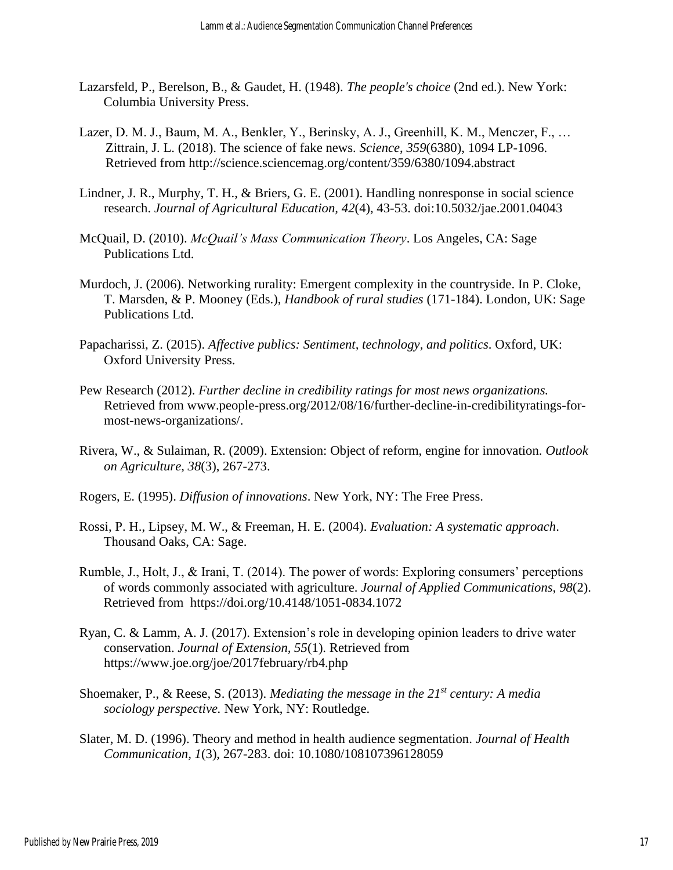- Lazarsfeld, P., Berelson, B., & Gaudet, H. (1948). *The people's choice* (2nd ed.). New York: Columbia University Press.
- Lazer, D. M. J., Baum, M. A., Benkler, Y., Berinsky, A. J., Greenhill, K. M., Menczer, F., … Zittrain, J. L. (2018). The science of fake news. *Science*, *359*(6380), 1094 LP-1096. Retrieved from http://science.sciencemag.org/content/359/6380/1094.abstract
- Lindner, J. R., Murphy, T. H., & Briers, G. E. (2001). Handling nonresponse in social science research. *Journal of Agricultural Education, 42*(4), 43-53. doi:10.5032/jae.2001.04043
- McQuail, D. (2010). *McQuail's Mass Communication Theory*. Los Angeles, CA: Sage Publications Ltd.
- Murdoch, J. (2006). Networking rurality: Emergent complexity in the countryside. In P. Cloke, T. Marsden, & P. Mooney (Eds.), *Handbook of rural studies* (171-184). London, UK: Sage Publications Ltd.
- Papacharissi, Z. (2015). *Affective publics: Sentiment, technology, and politics*. Oxford, UK: Oxford University Press.
- Pew Research (2012). *Further decline in credibility ratings for most news organizations.*  Retrieved from www.people-press.org/2012/08/16/further-decline-in-credibilityratings-formost-news-organizations/.
- Rivera, W., & Sulaiman, R. (2009). Extension: Object of reform, engine for innovation. *Outlook on Agriculture, 38*(3), 267-273.
- Rogers, E. (1995). *Diffusion of innovations*. New York, NY: The Free Press.
- Rossi, P. H., Lipsey, M. W., & Freeman, H. E. (2004). *Evaluation: A systematic approach*. Thousand Oaks, CA: Sage.
- Rumble, J., Holt, J., & Irani, T. (2014). The power of words: Exploring consumers' perceptions of words commonly associated with agriculture. *Journal of Applied Communications, 98*(2). Retrieved from https://doi.org/10.4148/1051-0834.1072
- Ryan, C. & Lamm, A. J. (2017). Extension's role in developing opinion leaders to drive water conservation. *Journal of Extension, 55*(1). Retrieved from https://www.joe.org/joe/2017february/rb4.php
- Shoemaker, P., & Reese, S. (2013). *Mediating the message in the 21st century: A media sociology perspective.* New York, NY: Routledge.
- Slater, M. D. (1996). Theory and method in health audience segmentation. *Journal of Health Communication, 1*(3), 267-283. doi: 10.1080/108107396128059